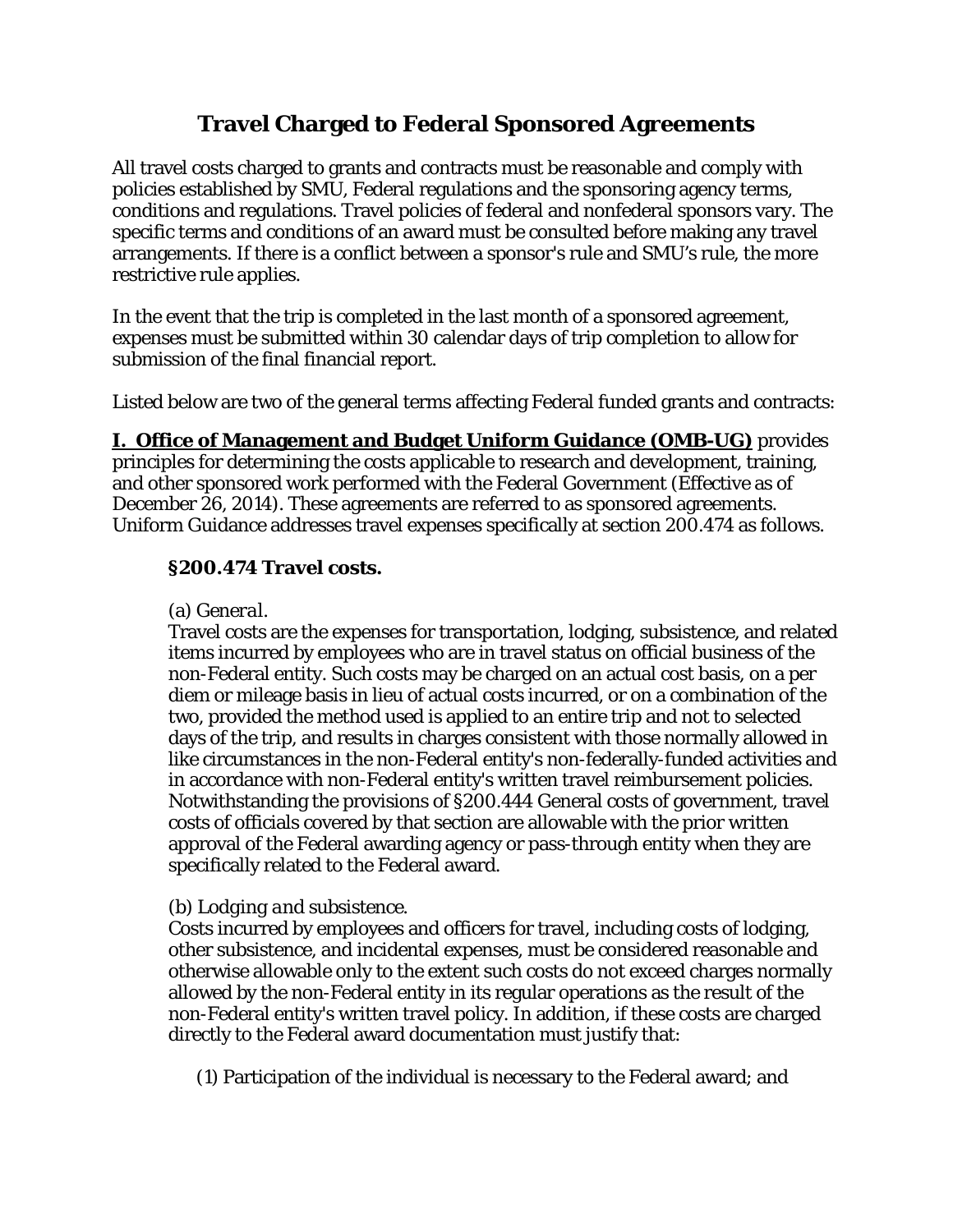# **Travel Charged to Federal Sponsored Agreements**

All travel costs charged to grants and contracts must be reasonable and comply with policies established by SMU, Federal regulations and the sponsoring agency terms, conditions and regulations. Travel policies of federal and nonfederal sponsors vary. The specific terms and conditions of an award must be consulted before making any travel arrangements. If there is a conflict between a sponsor's rule and SMU's rule, the more restrictive rule applies.

In the event that the trip is completed in the last month of a sponsored agreement, expenses must be submitted within 30 calendar days of trip completion to allow for submission of the final financial report.

Listed below are two of the general terms affecting Federal funded grants and contracts:

**I. Office of Management and Budget Uniform Guidance (OMB-UG)** provides principles for determining the costs applicable to research and development, training, and other sponsored work performed with the Federal Government (Effective as of December 26, 2014). These agreements are referred to as sponsored agreements. Uniform Guidance addresses travel expenses specifically at section 200.474 as follows.

# **§200.474 Travel costs.**

#### (a) *General.*

Travel costs are the expenses for transportation, lodging, subsistence, and related items incurred by employees who are in travel status on official business of the non-Federal entity. Such costs may be charged on an actual cost basis, on a per diem or mileage basis in lieu of actual costs incurred, or on a combination of the two, provided the method used is applied to an entire trip and not to selected days of the trip, and results in charges consistent with those normally allowed in like circumstances in the non-Federal entity's non-federally-funded activities and in accordance with non-Federal entity's written travel reimbursement policies. Notwithstanding the provisions of §200.444 General costs of government, travel costs of officials covered by that section are allowable with the prior written approval of the Federal awarding agency or pass-through entity when they are specifically related to the Federal award.

# (b) *Lodging and subsistence.*

Costs incurred by employees and officers for travel, including costs of lodging, other subsistence, and incidental expenses, must be considered reasonable and otherwise allowable only to the extent such costs do not exceed charges normally allowed by the non-Federal entity in its regular operations as the result of the non-Federal entity's written travel policy. In addition, if these costs are charged directly to the Federal award documentation must justify that:

(1) Participation of the individual is necessary to the Federal award; and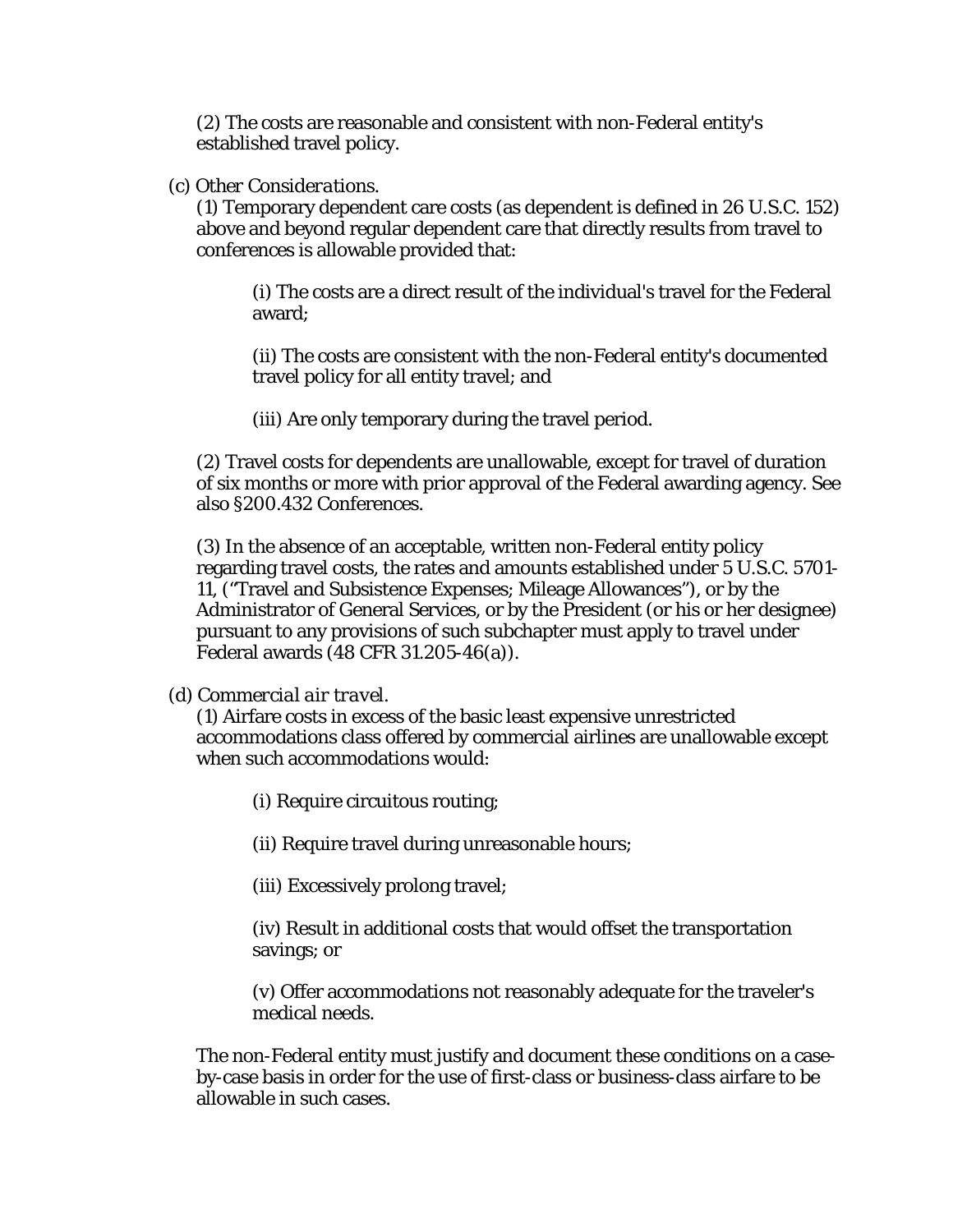(2) The costs are reasonable and consistent with non-Federal entity's established travel policy.

(c) *Other Considerations*.

(1) Temporary dependent care costs (as dependent is defined in 26 U.S.C. 152) above and beyond regular dependent care that directly results from travel to conferences is allowable provided that:

(i) The costs are a direct result of the individual's travel for the Federal award;

(ii) The costs are consistent with the non-Federal entity's documented travel policy for all entity travel; and

(iii) Are only temporary during the travel period.

(2) Travel costs for dependents are unallowable, except for travel of duration of six months or more with prior approval of the Federal awarding agency. See also §200.432 Conferences.

(3) In the absence of an acceptable, written non-Federal entity policy regarding travel costs, the rates and amounts established under 5 U.S.C. 5701- 11, ("Travel and Subsistence Expenses; Mileage Allowances"), or by the Administrator of General Services, or by the President (or his or her designee) pursuant to any provisions of such subchapter must apply to travel under Federal awards (48 CFR 31.205-46(a)).

(d) *Commercial air travel.* 

(1) Airfare costs in excess of the basic least expensive unrestricted accommodations class offered by commercial airlines are unallowable except when such accommodations would:

(i) Require circuitous routing;

(ii) Require travel during unreasonable hours;

(iii) Excessively prolong travel;

(iv) Result in additional costs that would offset the transportation savings; or

(v) Offer accommodations not reasonably adequate for the traveler's medical needs.

The non-Federal entity must justify and document these conditions on a caseby-case basis in order for the use of first-class or business-class airfare to be allowable in such cases.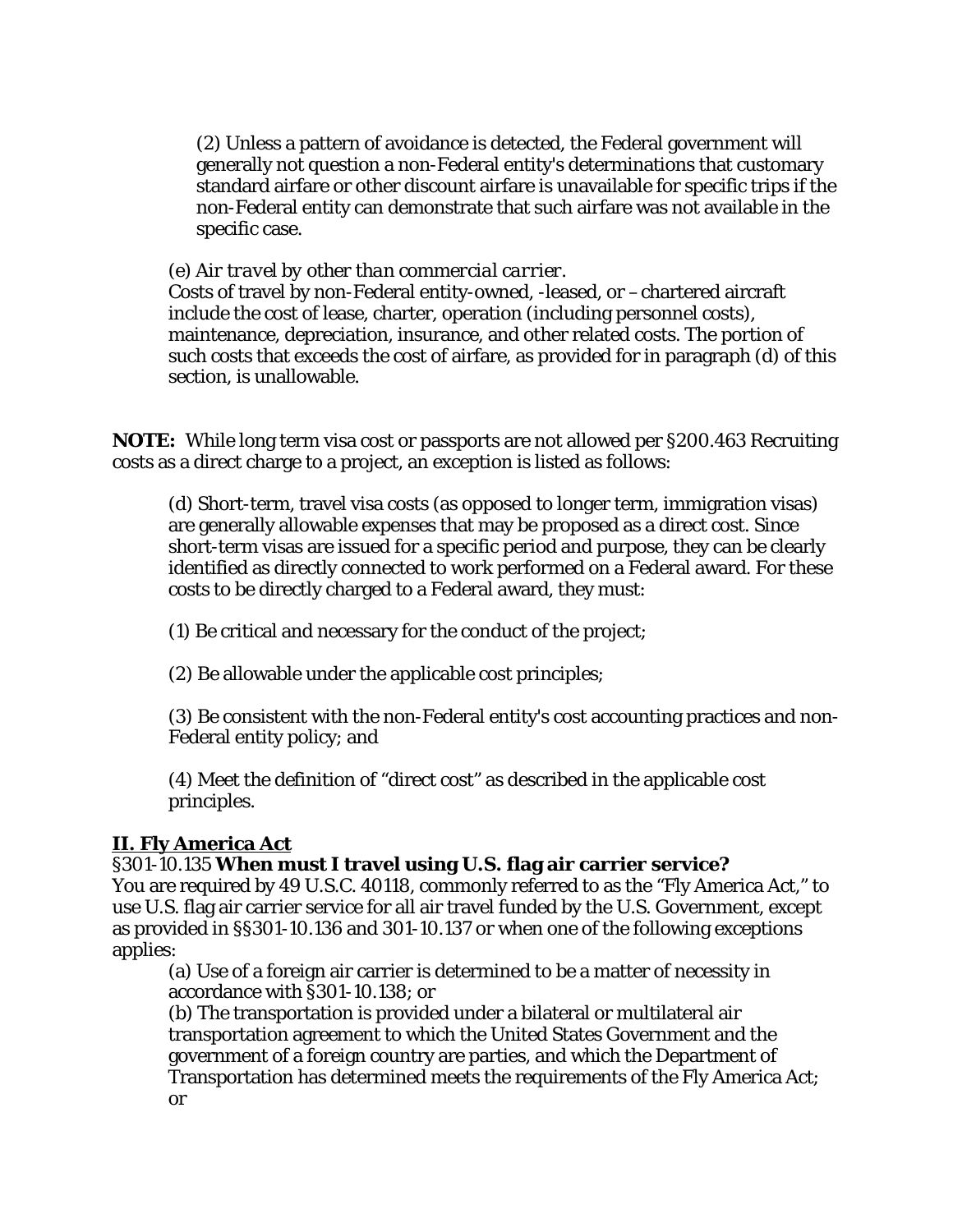(2) Unless a pattern of avoidance is detected, the Federal government will generally not question a non-Federal entity's determinations that customary standard airfare or other discount airfare is unavailable for specific trips if the non-Federal entity can demonstrate that such airfare was not available in the specific case.

#### (e) *Air travel by other than commercial carrier.*

Costs of travel by non-Federal entity-owned, -leased, or –chartered aircraft include the cost of lease, charter, operation (including personnel costs), maintenance, depreciation, insurance, and other related costs. The portion of such costs that exceeds the cost of airfare, as provided for in paragraph (d) of this section, is unallowable.

**NOTE:** While long term visa cost or passports are not allowed per §200.463 Recruiting costs as a direct charge to a project, an exception is listed as follows:

(d) Short-term, travel visa costs (as opposed to longer term, immigration visas) are generally allowable expenses that may be proposed as a direct cost. Since short-term visas are issued for a specific period and purpose, they can be clearly identified as directly connected to work performed on a Federal award. For these costs to be directly charged to a Federal award, they must:

(1) Be critical and necessary for the conduct of the project;

(2) Be allowable under the applicable cost principles;

(3) Be consistent with the non-Federal entity's cost accounting practices and non-Federal entity policy; and

(4) Meet the definition of "direct cost" as described in the applicable cost principles.

#### **II. Fly America Act**

#### §301-10.135 **When must I travel using U.S. flag air carrier service?**

You are required by 49 U.S.C. 40118, commonly referred to as the "Fly America Act," to use U.S. flag air carrier service for all air travel funded by the U.S. Government, except as provided in §§301-10.136 and 301-10.137 or when one of the following exceptions applies:

(a) Use of a foreign air carrier is determined to be a matter of necessity in accordance with §301-10.138; or

(b) The transportation is provided under a bilateral or multilateral air transportation agreement to which the United States Government and the government of a foreign country are parties, and which the Department of Transportation has determined meets the requirements of the Fly America Act; or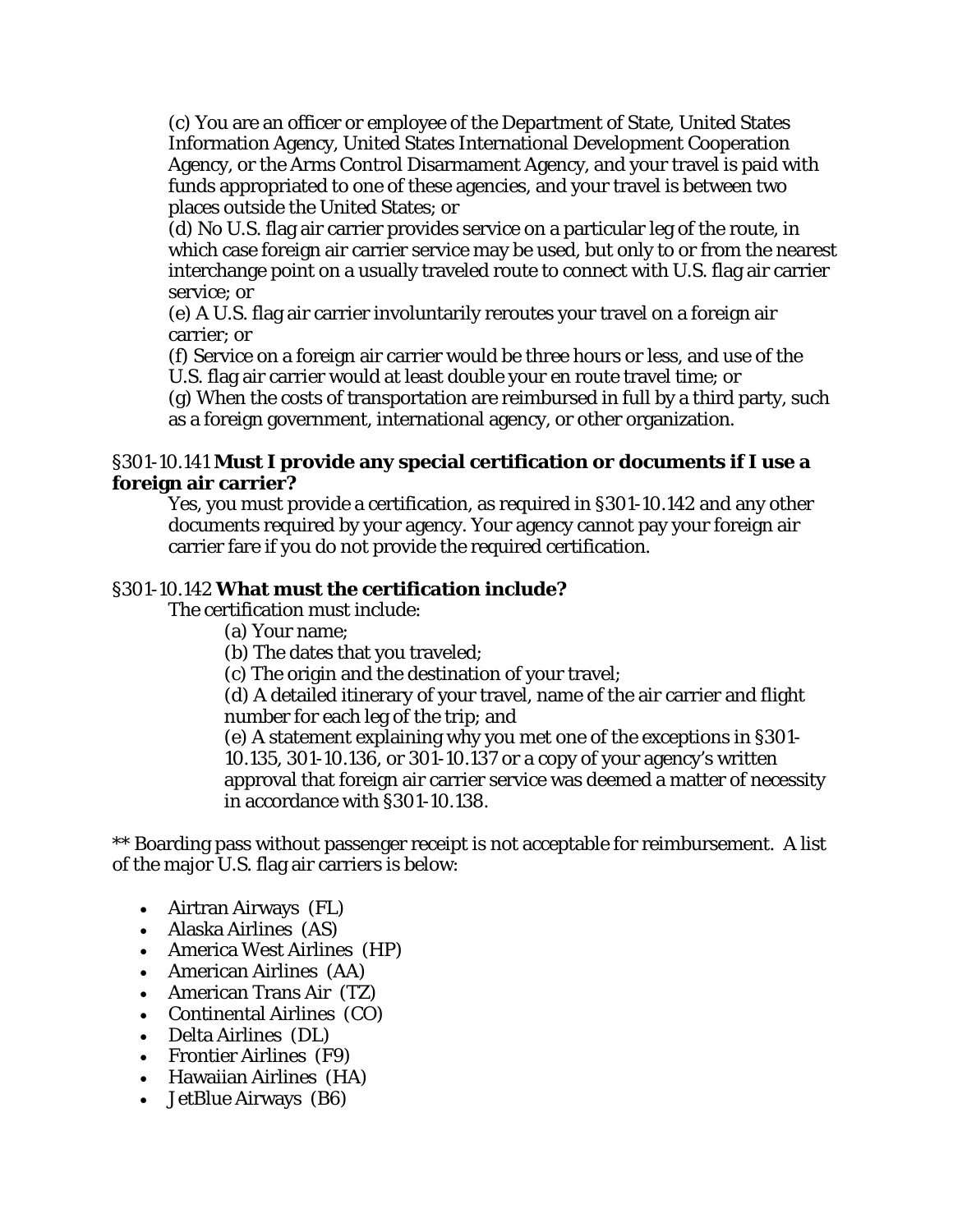(c) You are an officer or employee of the Department of State, United States Information Agency, United States International Development Cooperation Agency, or the Arms Control Disarmament Agency, and your travel is paid with funds appropriated to one of these agencies, and your travel is between two places outside the United States; or

(d) No U.S. flag air carrier provides service on a particular leg of the route, in which case foreign air carrier service may be used, but only to or from the nearest interchange point on a usually traveled route to connect with U.S. flag air carrier service; or

(e) A U.S. flag air carrier involuntarily reroutes your travel on a foreign air carrier; or

(f) Service on a foreign air carrier would be three hours or less, and use of the U.S. flag air carrier would at least double your en route travel time; or (g) When the costs of transportation are reimbursed in full by a third party, such

as a foreign government, international agency, or other organization.

#### §301-10.141 **Must I provide any special certification or documents if I use a foreign air carrier?**

Yes, you must provide a certification, as required in §301-10.142 and any other documents required by your agency. Your agency cannot pay your foreign air carrier fare if you do not provide the required certification.

### §301-10.142 **What must the certification include?**

The certification must include:

(a) Your name;

(b) The dates that you traveled;

(c) The origin and the destination of your travel;

(d) A detailed itinerary of your travel, name of the air carrier and flight number for each leg of the trip; and

(e) A statement explaining why you met one of the exceptions in §301- 10.135, 301-10.136, or 301-10.137 or a copy of your agency's written approval that foreign air carrier service was deemed a matter of necessity in accordance with §301-10.138.

\*\* Boarding pass without passenger receipt is not acceptable for reimbursement. A list of the major U.S. flag air carriers is below:

- Airtran Airways (FL)
- Alaska Airlines (AS)
- America West Airlines (HP)
- American Airlines (AA)
- American Trans Air (TZ)
- Continental Airlines (CO)
- Delta Airlines (DL)
- Frontier Airlines (F9)
- Hawaiian Airlines (HA)
- JetBlue Airways (B6)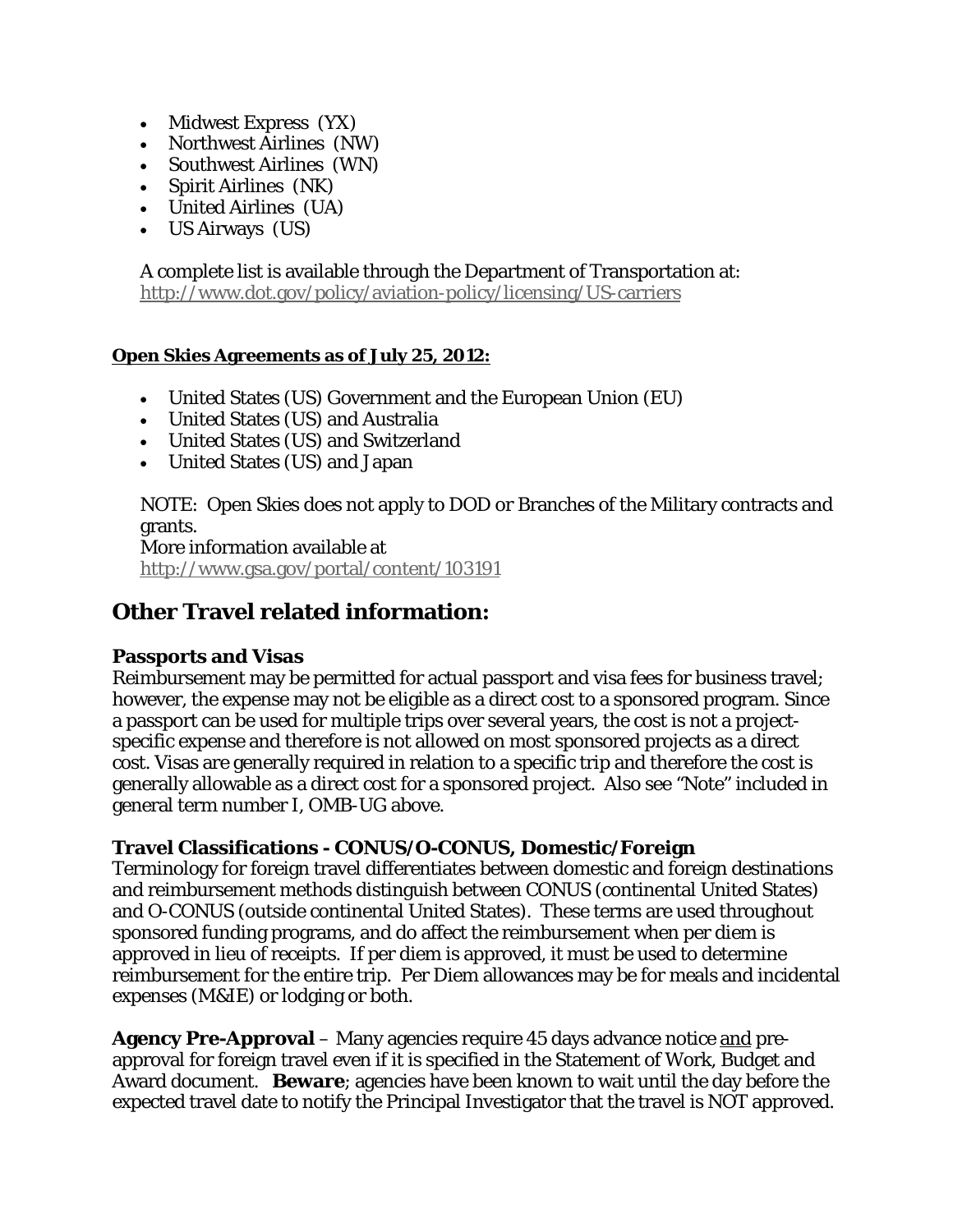- Midwest Express (YX)
- Northwest Airlines (NW)
- Southwest Airlines (WN)
- Spirit Airlines (NK)
- United Airlines (UA)
- US Airways (US)

A complete list is available through the Department of Transportation at: <http://www.dot.gov/policy/aviation-policy/licensing/US-carriers>

#### **Open Skies Agreements as of July 25, 2012:**

- United States (US) Government and the European Union (EU)
- United States (US) and Australia
- United States (US) and Switzerland
- United States (US) and Japan

NOTE: Open Skies does not apply to DOD or Branches of the Military contracts and grants.

More information available at <http://www.gsa.gov/portal/content/103191>

# **Other Travel related information:**

#### **Passports and Visas**

Reimbursement may be permitted for actual passport and visa fees for business travel; however, the expense may not be eligible as a direct cost to a sponsored program. Since a passport can be used for multiple trips over several years, the cost is not a projectspecific expense and therefore is not allowed on most sponsored projects as a direct cost. Visas are generally required in relation to a specific trip and therefore the cost is generally allowable as a direct cost for a sponsored project. Also see "Note" included in general term number I, OMB-UG above.

#### **Travel Classifications - CONUS/O-CONUS, Domestic/Foreign**

Terminology for foreign travel differentiates between domestic and foreign destinations and reimbursement methods distinguish between CONUS (continental United States) and O-CONUS (outside continental United States). These terms are used throughout sponsored funding programs, and do affect the reimbursement when per diem is approved in lieu of receipts. If per diem is approved, it must be used to determine reimbursement for the entire trip. Per Diem allowances may be for meals and incidental expenses (M&IE) or lodging or both.

**Agency Pre-Approval** – Many agencies require 45 days advance notice and preapproval for foreign travel even if it is specified in the Statement of Work, Budget and Award document. **Beware**; agencies have been known to wait until the day before the expected travel date to notify the Principal Investigator that the travel is NOT approved.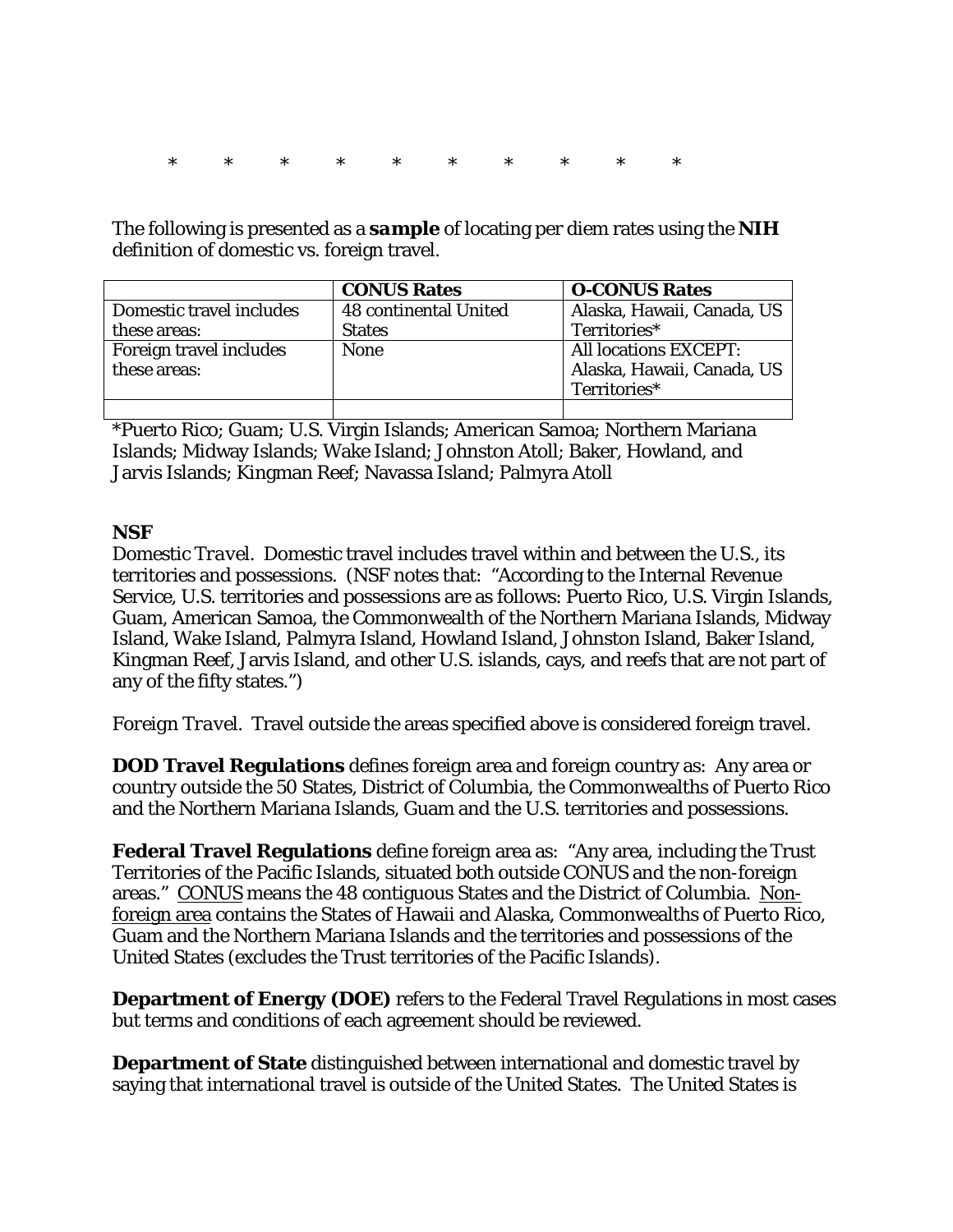\* \* \* \* \* \* \* \* \* \*

The following is presented as a *sample* of locating per diem rates using the **NIH**  definition of domestic vs. foreign travel.

|                          | <b>CONUS Rates</b>    | <b>O-CONUS Rates</b>         |
|--------------------------|-----------------------|------------------------------|
| Domestic travel includes | 48 continental United | Alaska, Hawaii, Canada, US   |
| these areas:             | <b>States</b>         | Territories*                 |
| Foreign travel includes  | <b>None</b>           | <b>All locations EXCEPT:</b> |
| these areas:             |                       | Alaska, Hawaii, Canada, US   |
|                          |                       | Territories*                 |
|                          |                       |                              |

\*Puerto Rico; Guam; U.S. Virgin Islands; American Samoa; Northern Mariana Islands; Midway Islands; Wake Island; Johnston Atoll; Baker, Howland, and Jarvis Islands; Kingman Reef; Navassa Island; Palmyra Atoll

#### **NSF**

*Domestic Travel*. Domestic travel includes travel within and between the U.S., its territories and possessions. (NSF notes that: "According to the Internal Revenue Service, U.S. territories and possessions are as follows: Puerto Rico, U.S. Virgin Islands, Guam, American Samoa, the Commonwealth of the Northern Mariana Islands, Midway Island, Wake Island, Palmyra Island, Howland Island, Johnston Island, Baker Island, Kingman Reef, Jarvis Island, and other U.S. islands, cays, and reefs that are not part of any of the fifty states.")

*Foreign Travel.* Travel outside the areas specified above is considered foreign travel.

**DOD Travel Regulations** defines foreign area and foreign country as: Any area or country outside the 50 States, District of Columbia, the Commonwealths of Puerto Rico and the Northern Mariana Islands, Guam and the U.S. territories and possessions.

**Federal Travel Regulations** define foreign area as: "Any area, including the Trust Territories of the Pacific Islands, situated both outside CONUS and the non-foreign areas." CONUS means the 48 contiguous States and the District of Columbia. Nonforeign area contains the States of Hawaii and Alaska, Commonwealths of Puerto Rico, Guam and the Northern Mariana Islands and the territories and possessions of the United States (excludes the Trust territories of the Pacific Islands).

**Department of Energy (DOE)** refers to the Federal Travel Regulations in most cases but terms and conditions of each agreement should be reviewed.

**Department of State** distinguished between international and domestic travel by saying that international travel is outside of the United States. The United States is